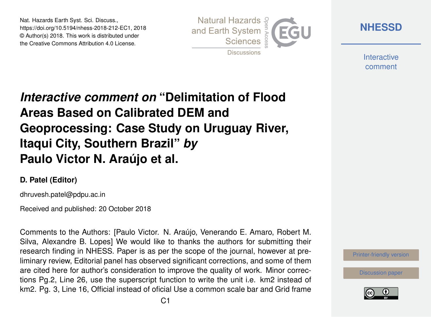Nat. Hazards Earth Syst. Sci. Discuss., https://doi.org/10.5194/nhess-2018-212-EC1, 2018 © Author(s) 2018. This work is distributed under the Creative Commons Attribution 4.0 License.



**[NHESSD](https://www.nat-hazards-earth-syst-sci-discuss.net/)**

**Interactive** comment

## *Interactive comment on* **"Delimitation of Flood Areas Based on Calibrated DEM and Geoprocessing: Case Study on Uruguay River, Itaqui City, Southern Brazil"** *by* **Paulo Victor N. Araújo et al.**

## **D. Patel (Editor)**

dhruvesh.patel@pdpu.ac.in

Received and published: 20 October 2018

Comments to the Authors: [Paulo Victor. N. Araújo, Venerando E. Amaro, Robert M. Silva, Alexandre B. Lopes] We would like to thanks the authors for submitting their research finding in NHESS. Paper is as per the scope of the journal, however at preliminary review, Editorial panel has observed significant corrections, and some of them are cited here for author's consideration to improve the quality of work. Minor corrections Pg.2, Line 26, use the superscript function to write the unit i.e. km2 instead of km2. Pg. 3, Line 16, Official instead of oficial Use a common scale bar and Grid frame

[Printer-friendly version](https://www.nat-hazards-earth-syst-sci-discuss.net/nhess-2018-212/nhess-2018-212-EC1-print.pdf)

[Discussion paper](https://www.nat-hazards-earth-syst-sci-discuss.net/nhess-2018-212)